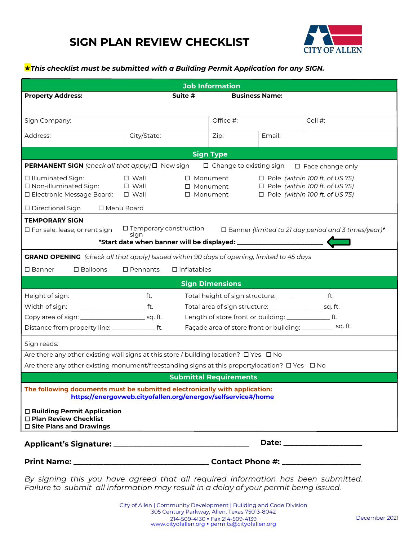## **SIGN PLAN REVIEW CHECKLIST**



## *This checklist must be submitted with a Building Permit Application for any SIGN.*

| <b>Job Information</b>                                                                                                                                                                           |                                                              |                                        |                                |                                                                      |                                                                                                                                                                                                                                |  |  |
|--------------------------------------------------------------------------------------------------------------------------------------------------------------------------------------------------|--------------------------------------------------------------|----------------------------------------|--------------------------------|----------------------------------------------------------------------|--------------------------------------------------------------------------------------------------------------------------------------------------------------------------------------------------------------------------------|--|--|
| <b>Property Address:</b>                                                                                                                                                                         | Suite #                                                      |                                        | <b>Business Name:</b>          |                                                                      |                                                                                                                                                                                                                                |  |  |
|                                                                                                                                                                                                  |                                                              |                                        |                                |                                                                      |                                                                                                                                                                                                                                |  |  |
| Sign Company:                                                                                                                                                                                    |                                                              | Office #:                              |                                |                                                                      | Cell #:                                                                                                                                                                                                                        |  |  |
| Address:                                                                                                                                                                                         | City/State:                                                  | Zip:                                   |                                | Email:                                                               |                                                                                                                                                                                                                                |  |  |
|                                                                                                                                                                                                  |                                                              | <b>Sign Type</b>                       |                                |                                                                      |                                                                                                                                                                                                                                |  |  |
| <b>PERMANENT SIGN</b> (check all that apply) □ New sign                                                                                                                                          |                                                              |                                        | $\Box$ Change to existing sign |                                                                      | $\Box$ Face change only                                                                                                                                                                                                        |  |  |
| □ Illuminated Sign:<br>□ Non-illuminated Sign:<br>□ Electronic Message Board:                                                                                                                    | $\Box$ Wall<br>$\square$ Wall<br>$\square$ Wall              | □ Monument<br>□ Monument<br>□ Monument |                                |                                                                      | $\Box$ Pole (within 100 ft. of US 75)<br>$\Box$ Pole (within 100 ft. of US 75)<br>$\Box$ Pole (within 100 ft. of US 75)                                                                                                        |  |  |
| □ Directional Sign<br>□ Menu Board                                                                                                                                                               |                                                              |                                        |                                |                                                                      |                                                                                                                                                                                                                                |  |  |
| <b>TEMPORARY SIGN</b><br>□ For sale, lease, or rent sign                                                                                                                                         | □ Temporary construction<br>sign                             |                                        |                                |                                                                      | $\Box$ Banner (limited to 21 day period and 3 times/year)*                                                                                                                                                                     |  |  |
| <b>GRAND OPENING</b> (check all that apply) Issued within 90 days of opening, limited to 45 days                                                                                                 |                                                              |                                        |                                |                                                                      |                                                                                                                                                                                                                                |  |  |
| $\square$ Banner<br>$\square$ Balloons                                                                                                                                                           | $\Box$ Inflatables<br>$\square$ Pennants                     |                                        |                                |                                                                      |                                                                                                                                                                                                                                |  |  |
|                                                                                                                                                                                                  | <b>Sign Dimensions</b>                                       |                                        |                                |                                                                      |                                                                                                                                                                                                                                |  |  |
|                                                                                                                                                                                                  |                                                              |                                        |                                | Total height of sign structure: ______________________ ft.           |                                                                                                                                                                                                                                |  |  |
|                                                                                                                                                                                                  |                                                              |                                        |                                | Total area of sign structure: _____________________ sq. ft.          |                                                                                                                                                                                                                                |  |  |
| Distance from property line: __________________ ft.                                                                                                                                              |                                                              |                                        |                                | Length of store front or building: _________________ ft.             | Façade area of store front or building: _____________ sq. ft.                                                                                                                                                                  |  |  |
|                                                                                                                                                                                                  |                                                              |                                        |                                |                                                                      |                                                                                                                                                                                                                                |  |  |
| Sign reads:                                                                                                                                                                                      |                                                              |                                        |                                |                                                                      |                                                                                                                                                                                                                                |  |  |
| Are there any other existing wall signs at this store / building location? □ Yes □ No<br>Are there any other existing monument/freestanding signs at this propertylocation? $\Box$ Yes $\Box$ No |                                                              |                                        |                                |                                                                      |                                                                                                                                                                                                                                |  |  |
|                                                                                                                                                                                                  | <b>Submittal Requirements</b>                                |                                        |                                |                                                                      |                                                                                                                                                                                                                                |  |  |
| The following documents must be submitted electronically with application:<br>□ Building Permit Application<br>□ Plan Review Checklist<br>$\square$ Site Plans and Drawings                      | https://energovweb.cityofallen.org/energov/selfservice#/home |                                        |                                | <u> 1980 - Johann Barbara, martxa alemaniar argametra (h. 1980).</u> |                                                                                                                                                                                                                                |  |  |
|                                                                                                                                                                                                  |                                                              |                                        |                                |                                                                      | Date: the contract of the contract of the contract of the contract of the contract of the contract of the contract of the contract of the contract of the contract of the contract of the contract of the contract of the cont |  |  |
|                                                                                                                                                                                                  |                                                              |                                        |                                |                                                                      |                                                                                                                                                                                                                                |  |  |

*By signing this you have agreed that all required information has been submitted. Failure to submit all information may result in a delay of your permit being issued.*